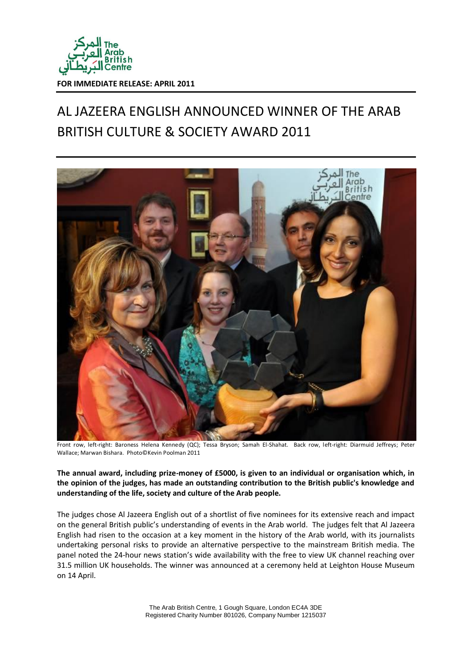

## AL JAZEERA ENGLISH ANNOUNCED WINNER OF THE ARAB BRITISH CULTURE & SOCIETY AWARD 2011



Front row, left-right: Baroness Helena Kennedy (QC); Tessa Bryson; Samah El-Shahat. Back row, left-right: Diarmuid Jeffreys; Peter Wallace; Marwan Bishara. Photo©Kevin Poolman 2011

**The annual award, including prize-money of £5000, is given to an individual or organisation which, in the opinion of the judges, has made an outstanding contribution to the British public's knowledge and understanding of the life, society and culture of the Arab people.**

The judges chose Al Jazeera English out of a shortlist of five nominees for its extensive reach and impact on the general British public's understanding of events in the Arab world. The judges felt that Al Jazeera English had risen to the occasion at a key moment in the history of the Arab world, with its journalists undertaking personal risks to provide an alternative perspective to the mainstream British media. The panel noted the 24-hour news station's wide availability with the free to view UK channel reaching over 31.5 million UK households. The winner was announced at a ceremony held at Leighton House Museum on 14 April.

> The Arab British Centre, 1 Gough Square, London EC4A 3DE Registered Charity Number 801026, Company Number 1215037